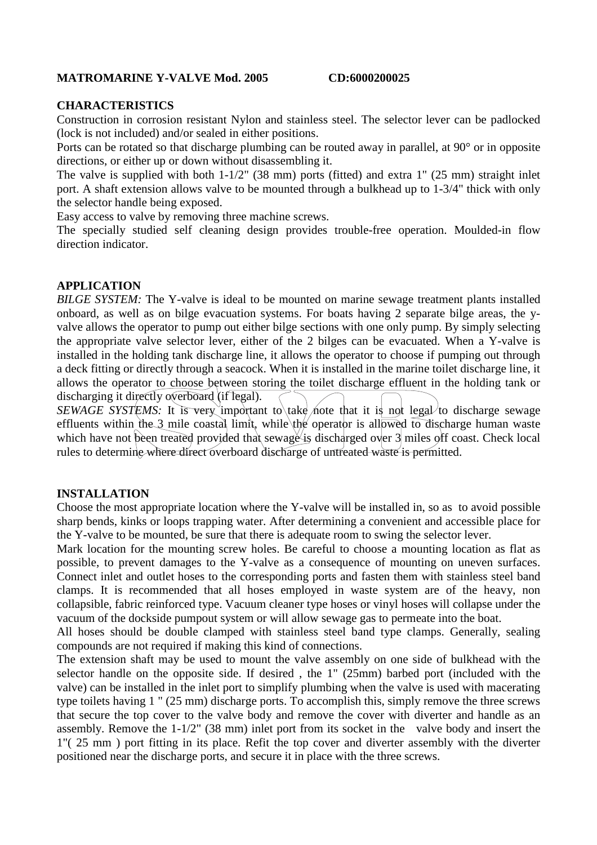# **MATROMARINE Y-VALVE Mod. 2005 CD:6000200025**

# **CHARACTERISTICS**

Construction in corrosion resistant Nylon and stainless steel. The selector lever can be padlocked (lock is not included) and/or sealed in either positions.

Ports can be rotated so that discharge plumbing can be routed away in parallel, at 90° or in opposite directions, or either up or down without disassembling it.

The valve is supplied with both 1-1/2" (38 mm) ports (fitted) and extra 1" (25 mm) straight inlet port. A shaft extension allows valve to be mounted through a bulkhead up to 1-3/4" thick with only the selector handle being exposed.

Easy access to valve by removing three machine screws.

The specially studied self cleaning design provides trouble-free operation. Moulded-in flow direction indicator.

### **APPLICATION**

*BILGE SYSTEM:* The Y-valve is ideal to be mounted on marine sewage treatment plants installed onboard, as well as on bilge evacuation systems. For boats having 2 separate bilge areas, the yvalve allows the operator to pump out either bilge sections with one only pump. By simply selecting the appropriate valve selector lever, either of the 2 bilges can be evacuated. When a Y-valve is installed in the holding tank discharge line, it allows the operator to choose if pumping out through a deck fitting or directly through a seacock. When it is installed in the marine toilet discharge line, it allows the operator to choose between storing the toilet discharge effluent in the holding tank or discharging it directly overboard (if legal).

*SEWAGE SYSTEMS:* It is very important to take note that it is not legal to discharge sewage effluents within the 3 mile coastal limit, while the operator is allowed to discharge human waste which have not been treated provided that sewage is discharged over 3 miles off coast. Check local rules to determine where direct overboard discharge of untreated waste is permitted.

### **INSTALLATION**

Choose the most appropriate location where the Y-valve will be installed in, so as to avoid possible sharp bends, kinks or loops trapping water. After determining a convenient and accessible place for the Y-valve to be mounted, be sure that there is adequate room to swing the selector lever.

Mark location for the mounting screw holes. Be careful to choose a mounting location as flat as possible, to prevent damages to the Y-valve as a consequence of mounting on uneven surfaces. Connect inlet and outlet hoses to the corresponding ports and fasten them with stainless steel band clamps. It is recommended that all hoses employed in waste system are of the heavy, non collapsible, fabric reinforced type. Vacuum cleaner type hoses or vinyl hoses will collapse under the vacuum of the dockside pumpout system or will allow sewage gas to permeate into the boat.

All hoses should be double clamped with stainless steel band type clamps. Generally, sealing compounds are not required if making this kind of connections.

The extension shaft may be used to mount the valve assembly on one side of bulkhead with the selector handle on the opposite side. If desired , the 1" (25mm) barbed port (included with the valve) can be installed in the inlet port to simplify plumbing when the valve is used with macerating type toilets having 1 " (25 mm) discharge ports. To accomplish this, simply remove the three screws that secure the top cover to the valve body and remove the cover with diverter and handle as an assembly. Remove the 1-1/2" (38 mm) inlet port from its socket in the valve body and insert the 1"( 25 mm ) port fitting in its place. Refit the top cover and diverter assembly with the diverter positioned near the discharge ports, and secure it in place with the three screws.